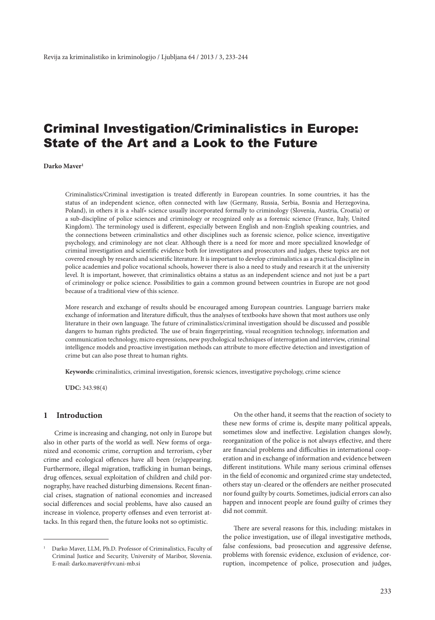# Criminal Investigation/Criminalistics in Europe: State of the Art and a Look to the Future

**Darko Maver1**

Criminalistics/Criminal investigation is treated differently in European countries. In some countries, it has the status of an independent science, often connected with law (Germany, Russia, Serbia, Bosnia and Herzegovina, Poland), in others it is a »half« science usually incorporated formally to criminology (Slovenia, Austria, Croatia) or a sub-discipline of police sciences and criminology or recognized only as a forensic science (France, Italy, United Kingdom). The terminology used is different, especially between English and non-English speaking countries, and the connections between criminalistics and other disciplines such as forensic science, police science, investigative psychology, and criminology are not clear. Although there is a need for more and more specialized knowledge of criminal investigation and scientific evidence both for investigators and prosecutors and judges, these topics are not covered enough by research and scientific literature. It is important to develop criminalistics as a practical discipline in police academies and police vocational schools, however there is also a need to study and research it at the university level. It is important, however, that criminalistics obtains a status as an independent science and not just be a part of criminology or police science. Possibilities to gain a common ground between countries in Europe are not good because of a traditional view of this science.

More research and exchange of results should be encouraged among European countries. Language barriers make exchange of information and literature difficult, thus the analyses of textbooks have shown that most authors use only literature in their own language. The future of criminalistics/criminal investigation should be discussed and possible dangers to human rights predicted. The use of brain fingerprinting, visual recognition technology, information and communication technology, micro expressions, new psychological techniques of interrogation and interview, criminal intelligence models and proactive investigation methods can attribute to more effective detection and investigation of crime but can also pose threat to human rights.

**Keywords:** criminalistics, criminal investigation, forensic sciences, investigative psychology, crime science

**UDC:** 343.98(4)

# **1 Introduction**

Crime is increasing and changing, not only in Europe but also in other parts of the world as well. New forms of organized and economic crime, corruption and terrorism, cyber crime and ecological offences have all been (re)appearing. Furthermore, illegal migration, trafficking in human beings, drug offences, sexual exploitation of children and child pornography, have reached disturbing dimensions. Recent financial crises, stagnation of national economies and increased social differences and social problems, have also caused an increase in violence, property offenses and even terrorist attacks. In this regard then, the future looks not so optimistic.

On the other hand, it seems that the reaction of society to these new forms of crime is, despite many political appeals, sometimes slow and ineffective. Legislation changes slowly, reorganization of the police is not always effective, and there are financial problems and difficulties in international cooperation and in exchange of information and evidence between different institutions. While many serious criminal offenses in the field of economic and organized crime stay undetected, others stay un-cleared or the offenders are neither prosecuted nor found guilty by courts. Sometimes, judicial errors can also happen and innocent people are found guilty of crimes they did not commit.

There are several reasons for this, including: mistakes in the police investigation, use of illegal investigative methods, false confessions, bad prosecution and aggressive defense, problems with forensic evidence, exclusion of evidence, corruption, incompetence of police, prosecution and judges,

<sup>1</sup> Darko Maver, LLM, Ph.D. Professor of Criminalistics, Faculty of Criminal Justice and Security, University of Maribor, Slovenia. E-mail: darko.maver@fvv.uni-mb.si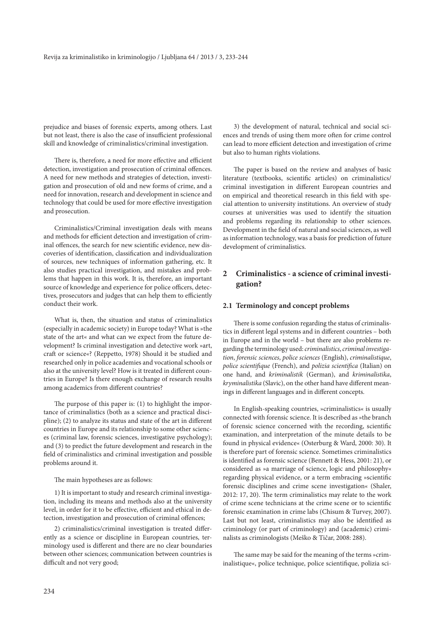prejudice and biases of forensic experts, among others. Last but not least, there is also the case of insufficient professional skill and knowledge of criminalistics/criminal investigation.

There is, therefore, a need for more effective and efficient detection, investigation and prosecution of criminal offences. A need for new methods and strategies of detection, investigation and prosecution of old and new forms of crime, and a need for innovation, research and development in science and technology that could be used for more effective investigation and prosecution.

Criminalistics/Criminal investigation deals with means and methods for efficient detection and investigation of criminal offences, the search for new scientific evidence, new discoveries of identification, classification and individualization of sources, new techniques of information gathering, etc. It also studies practical investigation, and mistakes and problems that happen in this work. It is, therefore, an important source of knowledge and experience for police officers, detectives, prosecutors and judges that can help them to efficiently conduct their work.

What is, then, the situation and status of criminalistics (especially in academic society) in Europe today? What is »the state of the art« and what can we expect from the future development? Is criminal investigation and detective work »art, craft or science«? (Reppetto, 1978) Should it be studied and researched only in police academies and vocational schools or also at the university level? How is it treated in different countries in Europe? Is there enough exchange of research results among academics from different countries?

The purpose of this paper is: (1) to highlight the importance of criminalistics (both as a science and practical discipline); (2) to analyze its status and state of the art in different countries in Europe and its relationship to some other sciences (criminal law, forensic sciences, investigative psychology); and (3) to predict the future development and research in the field of criminalistics and criminal investigation and possible problems around it.

#### The main hypotheses are as follows:

1) It is important to study and research criminal investigation, including its means and methods also at the university level, in order for it to be effective, efficient and ethical in detection, investigation and prosecution of criminal offences;

2) criminalistics/criminal investigation is treated differently as a science or discipline in European countries, terminology used is different and there are no clear boundaries between other sciences; communication between countries is difficult and not very good;

3) the development of natural, technical and social sciences and trends of using them more often for crime control can lead to more efficient detection and investigation of crime but also to human rights violations.

The paper is based on the review and analyses of basic literature (textbooks, scientific articles) on criminalistics/ criminal investigation in different European countries and on empirical and theoretical research in this field with special attention to university institutions. An overview of study courses at universities was used to identify the situation and problems regarding its relationship to other sciences. Development in the field of natural and social sciences, as well as information technology, was a basis for prediction of future development of criminalistics.

# **2 Criminalistics - a science of criminal investigation?**

## **2.1 Terminology and concept problems**

There is some confusion regarding the status of criminalistics in different legal systems and in different countries – both in Europe and in the world – but there are also problems regarding the terminology used: *criminalistics*, *criminal investigation*, *forensic sciences*, *police sciences* (English), *criminalistique*, *police scientifique* (French), and *polizia scientifica* (Italian) on one hand, and *kriminalistik* (German), and *kriminalistika*, *kryminalistika* (Slavic), on the other hand have different meanings in different languages and in different concepts.

In English-speaking countries, »criminalistics« is usually connected with forensic science. It is described as »the branch of forensic science concerned with the recording, scientific examination, and interpretation of the minute details to be found in physical evidence« (Osterburg & Ward, 2000: 30). It is therefore part of forensic science. Sometimes criminalistics is identified as forensic science (Bennett & Hess, 2001: 21), or considered as »a marriage of science, logic and philosophy« regarding physical evidence, or a term embracing »scientific forensic disciplines and crime scene investigation« (Shaler, 2012: 17, 20). The term criminalistics may relate to the work of crime scene technicians at the crime scene or to scientific forensic examination in crime labs (Chisum & Turvey, 2007). Last but not least, criminalistics may also be identified as criminology (or part of criminology) and (academic) criminalists as criminologists (Meško & Tičar, 2008: 288).

The same may be said for the meaning of the terms »criminalistique«, police technique, police scientifique, polizia sci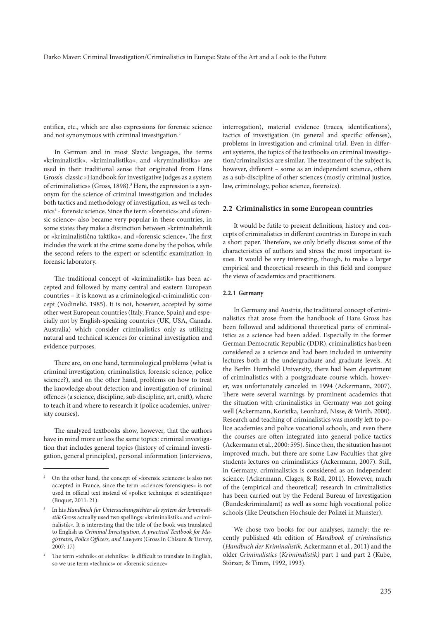entifica, etc., which are also expressions for forensic science and not synonymous with criminal investigation.<sup>2</sup>

In German and in most Slavic languages, the terms »kriminalistik«, »kriminalistika«, and »kryminalistika« are used in their traditional sense that originated from Hans Gross's classic »Handbook for investigative judges as a system of criminalistics« (Gross, 1898).<sup>3</sup> Here, the expression is a synonym for the science of criminal investigation and includes both tactics and methodology of investigation, as well as technics4 - forensic science. Since the term »forensics« and »forensic science« also became very popular in these countries, in some states they make a distinction between »kriminaltehnik or »kriminalistična taktika«, and »forensic science«. The first includes the work at the crime scene done by the police, while the second refers to the expert or scientific examination in forensic laboratory.

The traditional concept of »kriminalistik« has been accepted and followed by many central and eastern European countries – it is known as a criminological-criminalistic concept (Vodinelić, 1985). It is not, however, accepted by some other west European countries (Italy, France, Spain) and especially not by English-speaking countries (UK, USA, Canada. Australia) which consider criminalistics only as utilizing natural and technical sciences for criminal investigation and evidence purposes.

There are, on one hand, terminological problems (what is criminal investigation, criminalistics, forensic science, police science?), and on the other hand, problems on how to treat the knowledge about detection and investigation of criminal offences (a science, discipline, sub discipline, art, craft), where to teach it and where to research it (police academies, university courses).

The analyzed textbooks show, however, that the authors have in mind more or less the same topics: criminal investigation that includes general topics (history of criminal investigation, general principles), personal information (interviews, interrogation), material evidence (traces, identifications), tactics of investigation (in general and specific offenses), problems in investigation and criminal trial. Even in different systems, the topics of the textbooks on criminal investigation/criminalistics are similar. The treatment of the subject is, however, different – some as an independent science, others as a sub-discipline of other sciences (mostly criminal justice, law, criminology, police science, forensics).

## **2.2 Criminalistics in some European countries**

It would be futile to present definitions, history and concepts of criminalistics in different countries in Europe in such a short paper. Therefore, we only briefly discuss some of the characteristics of authors and stress the most important issues. It would be very interesting, though, to make a larger empirical and theoretical research in this field and compare the views of academics and practitioners.

## **2.2.1 Germany**

In Germany and Austria, the traditional concept of criminalistics that arose from the handbook of Hans Gross has been followed and additional theoretical parts of criminalistics as a science had been added. Especially in the former German Democratic Republic (DDR), criminalistics has been considered as a science and had been included in university lectures both at the undergraduate and graduate levels. At the Berlin Humbold University, there had been department of criminalistics with a postgraduate course which, however, was unfortunately canceled in 1994 (Ackermann, 2007). There were several warnings by prominent academics that the situation with criminalistics in Germany was not going well (Ackermann, Koristka, Leonhard, Nisse, & Wirth, 2000). Research and teaching of criminalistics was mostly left to police academies and police vocational schools, and even there the courses are often integrated into general police tactics (Ackermann et al., 2000: 595). Since then, the situation has not improved much, but there are some Law Faculties that give students lectures on criminalistics (Ackermann, 2007). Still, in Germany, criminalistics is considered as an independent science. (Ackermann, Clages, & Roll, 2011). However, much of the (empirical and theoretical) research in criminalistics has been carried out by the Federal Bureau of Investigation (Bundeskriminalamt) as well as some high vocational police schools (like Deutschen Hochsule der Polizei in Munster).

We chose two books for our analyses, namely: the recently published 4th edition of *Handbook of criminalistics* (*Handbuch der Kriminalistik,* Ackermann et al., 2011) and the older *Criminalistics* (*Kriminalistik)* part 1 and part 2 (Kube, Störzer, & Timm, 1992, 1993).

<sup>2</sup> On the other hand, the concept of »forensic sciences« is also not accepted in France, since the term »sciences forensiques« is not used in official text instead of »police technique et scientifique« (Buquet, 2011: 21).

<sup>3</sup> In his *Handbuch fur Untersuchungsichter als system der kriminalistik* Gross actually used two spellings: »kriminalistik« and »criminalistik«. It is interesting that the title of the book was translated to English as *Criminal Investigation, A practical Textbook for Magistrates, Police Officers, and Lawyers* (Gross in Chisum & Turvey, 2007: 17)

The term »tehnik« or »tehnika« is difficult to translate in English, so we use term »technics« or »forensic science«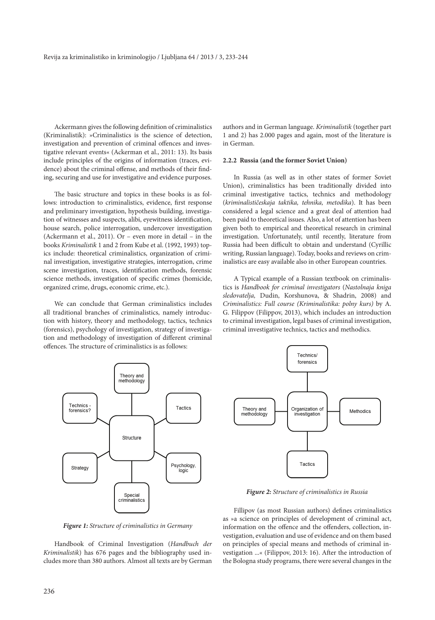Ackermann gives the following definition of criminalistics (Kriminalistik): »Criminalistics is the science of detection, investigation and prevention of criminal offences and investigative relevant events« (Ackerman et al., 2011: 13). Its basis include principles of the origins of information (traces, evidence) about the criminal offense, and methods of their finding, securing and use for investigative and evidence purposes.

The basic structure and topics in these books is as follows: introduction to criminalistics, evidence, first response and preliminary investigation, hypothesis building, investigation of witnesses and suspects, alibi, eyewitness identification, house search, police interrogation, undercover investigation (Ackermann et al., 2011). Or – even more in detail – in the books *Kriminalistik* 1 and 2 from Kube et al. (1992, 1993) topics include: theoretical criminalistics, organization of criminal investigation, investigative strategies, interrogation, crime scene investigation, traces, identification methods, forensic science methods, investigation of specific crimes (homicide, organized crime, drugs, economic crime, etc.).

We can conclude that German criminalistics includes all traditional branches of criminalistics, namely introduction with history, theory and methodology, tactics, technics (forensics), psychology of investigation, strategy of investigation and methodology of investigation of different criminal offences. The structure of criminalistics is as follows:

authors and in German language. *Kriminalistik* (together part 1 and 2) has 2.000 pages and again, most of the literature is in German.

## **2.2.2 Russia (and the former Soviet Union)**

In Russia (as well as in other states of former Soviet Union), criminalistics has been traditionally divided into criminal investigative tactics, technics and methodology (*kriminalističeskaja taktika, tehnika, metodika*). It has been considered a legal science and a great deal of attention had been paid to theoretical issues. Also, a lot of attention has been given both to empirical and theoretical research in criminal investigation. Unfortunately, until recently, literature from Russia had been difficult to obtain and understand (Cyrillic writing, Russian language). Today, books and reviews on criminalistics are easy available also in other European countries.

A Typical example of a Russian textbook on criminalistics is *Handbook for criminal investigators* (*Nastolnaja kniga sledovatelja,* Dudin, Korshunova, & Shadrin, 2008) and *Criminalistics: Full course (Kriminalistika: polny kurs)* by A. G. Filippov (Filippov, 2013), which includes an introduction to criminal investigation, legal bases of criminal investigation, criminal investigative technics, tactics and methodics.





*Figure 2: Structure of criminalistics in Russia*

*Figure 1: Structure of criminalistics in Germany*

Handbook of Criminal Investigation (*Handbuch der Kriminalistik*) has 676 pages and the bibliography used includes more than 380 authors. Almost all texts are by German

Fillipov (as most Russian authors) defines criminalistics as »a science on principles of development of criminal act, information on the offence and the offenders, collection, investigation, evaluation and use of evidence and on them based on principles of special means and methods of criminal investigation ...« (Filippov, 2013: 16). After the introduction of the Bologna study programs, there were several changes in the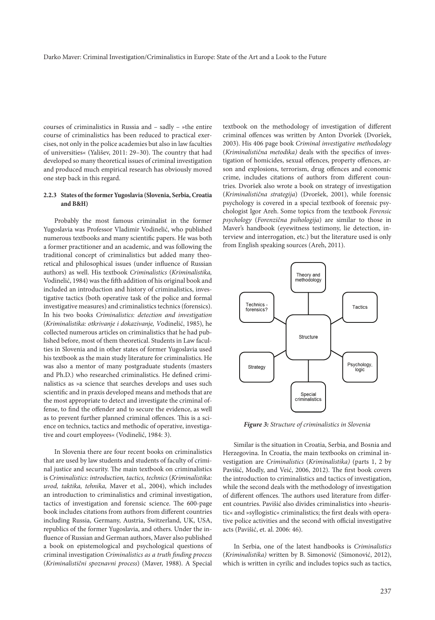courses of criminalistics in Russia and – sadly – »the entire course of criminalistics has been reduced to practical exercises, not only in the police academies but also in law faculties of universities« (Yališev, 2011: 29–30). The country that had developed so many theoretical issues of criminal investigation and produced much empirical research has obviously moved one step back in this regard.

## **2.2.3 States of the former Yugoslavia (Slovenia, Serbia, Croatia and B&H)**

Probably the most famous criminalist in the former Yugoslavia was Professor Vladimir Vodinelić, who published numerous textbooks and many scientific papers. He was both a former practitioner and an academic, and was following the traditional concept of criminalistics but added many theoretical and philosophical issues (under influence of Russian authors) as well. His textbook *Criminalistics* (*Kriminalistika,* Vodinelić, 1984) was the fifth addition of his original book and included an introduction and history of criminalistics, investigative tactics (both operative task of the police and formal investigative measures) and criminalistics technics (forensics). In his two books *Criminalistics: detection and investigation* (*Kriminalistika: otkrivanje i dokazivanje, V*odinelić, 1985), he collected numerous articles on criminalistics that he had published before, most of them theoretical. Students in Law faculties in Slovenia and in other states of former Yugoslavia used his textbook as the main study literature for criminalistics. He was also a mentor of many postgraduate students (masters and Ph.D.) who researched criminalistics. He defined criminalistics as »a science that searches develops and uses such scientific and in praxis developed means and methods that are the most appropriate to detect and investigate the criminal offense, to find the offender and to secure the evidence, as well as to prevent further planned criminal offences. This is a science on technics, tactics and methodic of operative, investigative and court employees« (Vodinelić, 1984: 3).

In Slovenia there are four recent books on criminalistics that are used by law students and students of faculty of criminal justice and security. The main textbook on criminalistics is *Criminalistics: introduction, tactics, technics* (*Kriminalistika: uvod, taktika, tehnika,* Maver et al., 2004), which includes an introduction to criminalistics and criminal investigation, tactics of investigation and forensic science. The 600-page book includes citations from authors from different countries including Russia, Germany, Austria, Switzerland, UK, USA, republics of the former Yugoslavia, and others. Under the influence of Russian and German authors, Maver also published a book on epistemological and psychological questions of criminal investigation *Criminalistics as a truth finding process* (*Kriminalistični spoznavni process*) (Maver, 1988). A Special

textbook on the methodology of investigation of different criminal offences was written by Anton Dvoršek (Dvoršek, 2003). His 406 page book *Criminal investigative methodology* (*Kriminalistična metodika)* deals with the specifics of investigation of homicides, sexual offences, property offences, arson and explosions, terrorism, drug offences and economic crime, includes citations of authors from different countries. Dvoršek also wrote a book on strategy of investigation (*Kriminalistična strategija*) (Dvoršek, 2001), while forensic psychology is covered in a special textbook of forensic psychologist Igor Areh. Some topics from the textbook *Forensic psychology* (*Forenzična psihologija*) are similar to those in Maver's handbook (eyewitness testimony, lie detection, interview and interrogation, etc.) but the literature used is only from English speaking sources (Areh, 2011).



*Figure 3: Structure of criminalistics in Slovenia*

Similar is the situation in Croatia, Serbia, and Bosnia and Herzegovina. In Croatia, the main textbooks on criminal investigation are *Criminalistics* (*Kriminalistika)* (parts 1, 2 by Pavišić, Modly, and Veić, 2006, 2012). The first book covers the introduction to criminalistics and tactics of investigation, while the second deals with the methodology of investigation of different offences. The authors used literature from different countries. Pavišić also divides criminalistics into »heuristic« and »syllogistic« criminalistics; the first deals with operative police activities and the second with official investigative acts (Pavišić, et. al. 2006: 46).

In Serbia, one of the latest handbooks is *Criminalistics* (*Kriminalistika)* written by B. Simonović (Simonović, 2012), which is written in cyrilic and includes topics such as tactics,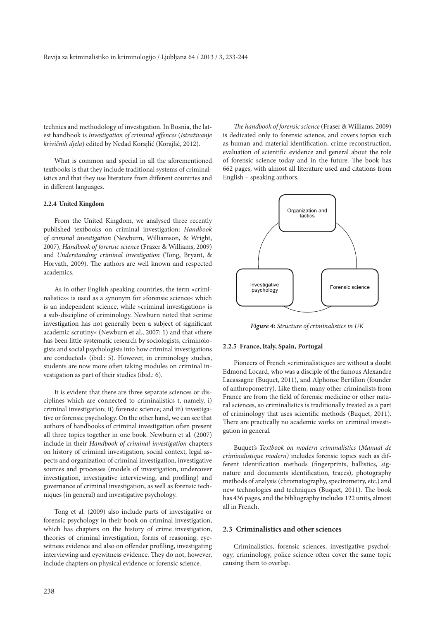technics and methodology of investigation. In Bosnia, the latest handbook is *Investigation of criminal offences* (*Istraživanje krivičnih djela*) edited by Neđad Korajlić (Korajlić, 2012).

What is common and special in all the aforementioned textbooks is that they include traditional systems of criminalistics and that they use literature from different countries and in different languages.

#### **2.2.4 United Kingdom**

From the United Kingdom, we analysed three recently published textbooks on criminal investigation: *Handbook of criminal investigation* (Newburn, Williamson, & Wright, 2007), *Handbook of forensic science* (Frazer & Williams, 2009) and *Understanding criminal investigation* (Tong, Bryant, & Horvath, 2009). The authors are well known and respected academics.

As in other English speaking countries, the term »criminalistics« is used as a synonym for »forensic science« which is an independent science, while »criminal investigation« is a sub-discipline of criminology. Newburn noted that »crime investigation has not generally been a subject of significant academic scrutiny« (Newburn et al., 2007: 1) and that »there has been little systematic research by sociologists, criminologists and social psychologists into how criminal investigations are conducted« (ibid.: 5). However, in criminology studies, students are now more often taking modules on criminal investigation as part of their studies (ibid.: 6).

It is evident that there are three separate sciences or disciplines which are connected to criminalistics t, namely, i) criminal investigation; ii) forensic science; and iii) investigative or forensic psychology. On the other hand, we can see that authors of handbooks of criminal investigation often present all three topics together in one book. Newburn et al. (2007) include in their *Handbook of criminal investigation* chapters on history of criminal investigation, social context, legal aspects and organization of criminal investigation, investigative sources and processes (models of investigation, undercover investigation, investigative interviewing, and profiling) and governance of criminal investigation, as well as forensic techniques (in general) and investigative psychology.

Tong et al. (2009) also include parts of investigative or forensic psychology in their book on criminal investigation, which has chapters on the history of crime investigation, theories of criminal investigation, forms of reasoning, eyewitness evidence and also on offender profiling, investigating interviewing and eyewitness evidence. They do not, however, include chapters on physical evidence or forensic science.

*The handbook of forensic science* (Fraser & Williams, 2009) is dedicated only to forensic science, and covers topics such as human and material identification, crime reconstruction, evaluation of scientific evidence and general about the role of forensic science today and in the future. The book has 662 pages, with almost all literature used and citations from English – speaking authors.



*Figure 4: Structure of criminalistics in UK*

#### **2.2.5 France, Italy, Spain, Portugal**

Pioneers of French »criminalistique« are without a doubt Edmond Locard, who was a disciple of the famous Alexandre Lacassagne (Buquet, 2011), and Alphonse Bertillon (founder of anthropometry). Like them, many other criminalists from France are from the field of forensic medicine or other natural sciences, so criminalistics is traditionally treated as a part of criminology that uses scientific methods (Buquet, 2011). There are practically no academic works on criminal investigation in general.

Buquet's *Textbook on modern criminalistics* (*Manual de criminalistique modern)* includes forensic topics such as different identification methods (fingerprints, ballistics, signature and documents identification, traces), photography methods of analysis (chromatography, spectrometry, etc.) and new technologies and techniques (Buquet, 2011). The book has 436 pages, and the bibliography includes 122 units, almost all in French.

## **2.3 Criminalistics and other sciences**

Criminalistics, forensic sciences, investigative psychology, criminology, police science often cover the same topic causing them to overlap.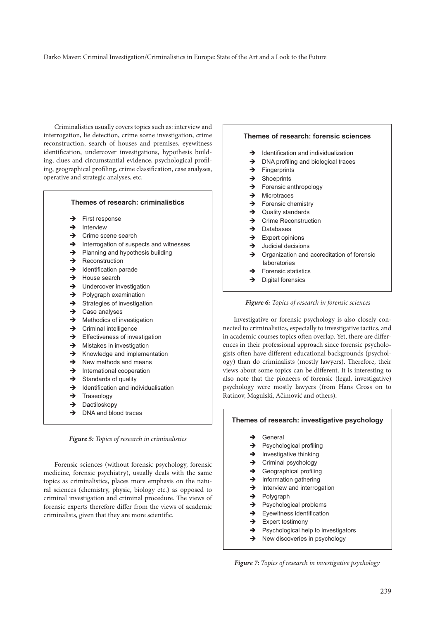#### Darko Maver: Criminal Investigation/Criminalistics in Europe: State of the Art and a Look to the Future

Criminalistics usually covers topics such as: interview and interrogation, lie detection, crime scene investigation, crime reconstruction, search of houses and premises, eyewitness identification, undercover investigations, hypothesis building, clues and circumstantial evidence, psychological profiling, geographical profiling, crime classification, case analyses, operative and strategic analyses, etc.

| Themes of research: criminalistics |                                         |
|------------------------------------|-----------------------------------------|
| $\rightarrow$                      | First response                          |
|                                    | $\rightarrow$ Interview                 |
| $\rightarrow$                      | Crime scene search                      |
| $\rightarrow$                      | Interrogation of suspects and witnesses |
| $\rightarrow$                      | Planning and hypothesis building        |
| $\rightarrow$                      | Reconstruction                          |
| $\rightarrow$                      | Identification parade                   |
| $\rightarrow$                      | House search                            |
| $\rightarrow$                      | Undercover investigation                |
| $\rightarrow$                      | Polygraph examination                   |
| $\rightarrow$                      | Strategies of investigation             |
| $\rightarrow$                      | Case analyses                           |
| $\rightarrow$                      | Methodics of investigation              |
| $\rightarrow$                      | Criminal intelligence                   |
| $\rightarrow$                      | Effectiveness of investigation          |
| $\rightarrow$                      | Mistakes in investigation               |
| $\rightarrow$                      | Knowledge and implementation            |
| $\rightarrow$                      | New methods and means                   |
| $\rightarrow$                      | International cooperation               |
| $\rightarrow$                      | Standards of quality                    |
| $\rightarrow$                      | Identification and individualisation    |
| $\rightarrow$                      | Traseology                              |
| $\rightarrow$                      | Dactiloskopy                            |
| →                                  | DNA and blood traces                    |
|                                    |                                         |

*Figure 5: Topics of research in criminalistics*

Forensic sciences (without forensic psychology, forensic medicine, forensic psychiatry), usually deals with the same topics as criminalistics, places more emphasis on the natural sciences (chemistry, physic, biology etc.) as opposed to criminal investigation and criminal procedure. The views of forensic experts therefore differ from the views of academic criminalists, given that they are more scientific.

## **Themes of research: forensic sciences**

- $\rightarrow$  Identification and individualization
- $\rightarrow$  DNA profiling and biological traces
- $\rightarrow$  Fingerprints
- $\rightarrow$  Shoeprints
- $\rightarrow$  Forensic anthropology
- $\rightarrow$  Microtraces
- $\rightarrow$  Forensic chemistry
- $\rightarrow$  Quality standards
- $\rightarrow$  Crime Reconstruction
- $\rightarrow$  Databases
- $\rightarrow$  Expert opinions
- $\rightarrow$  Judicial decisions
- **→** Organization and accreditation of forensic laboratories
- $\rightarrow$  Forensic statistics
- $\rightarrow$  Digital forensics



Investigative or forensic psychology is also closely connected to criminalistics, especially to investigative tactics, and in academic courses topics often overlap. Yet, there are differences in their professional approach since forensic psychologists often have different educational backgrounds (psychology) than do criminalists (mostly lawyers). Therefore, their views about some topics can be different. It is interesting to also note that the pioneers of forensic (legal, investigative) psychology were mostly lawyers (from Hans Gross on to Ratinov, Magulski, Ačimović and others).

# **Themes of research: investigative psychology**

- $\rightarrow$  General
- → Psychological profiling
- $\rightarrow$  Investigative thinking
- $\rightarrow$  Criminal psychology
- $\rightarrow$  Geographical profiling
- $\rightarrow$  Information gathering
- $\rightarrow$  Interview and interrogation
- $\rightarrow$  Polygraph
- → Psychological problems
- $\rightarrow$  Eyewitness identification
- $\rightarrow$  Expert testimony
- $\rightarrow$  Psychological help to investigators
- → New discoveries in psychology

*Figure 7: Topics of research in investigative psychology*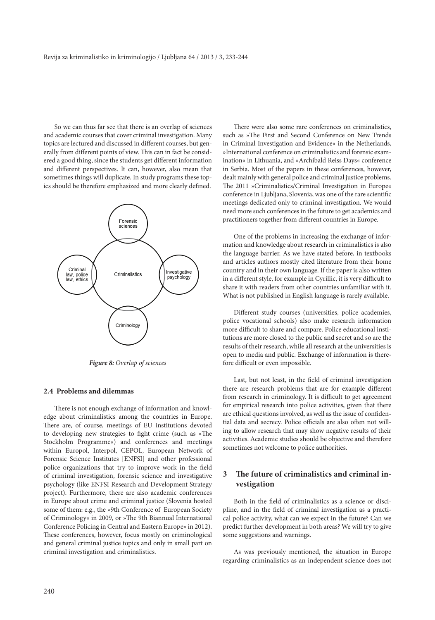So we can thus far see that there is an overlap of sciences and academic courses that cover criminal investigation. Many topics are lectured and discussed in different courses, but generally from different points of view. This can in fact be considered a good thing, since the students get different information and different perspectives. It can, however, also mean that sometimes things will duplicate. In study programs these topics should be therefore emphasized and more clearly defined.



*Figure 8: Overlap of sciences*

# **2.4 Problems and dilemmas**

There is not enough exchange of information and knowledge about criminalistics among the countries in Europe. There are, of course, meetings of EU institutions devoted to developing new strategies to fight crime (such as »The Stockholm Programme«) and conferences and meetings within Europol, Interpol, CEPOL, European Network of Forensic Science Institutes [ENFSI] and other professional police organizations that try to improve work in the field of criminal investigation, forensic science and investigative psychology (like ENFSI Research and Development Strategy project). Furthermore, there are also academic conferences in Europe about crime and criminal justice (Slovenia hosted some of them: e.g., the »9th Conference of European Society of Criminology« in 2009, or »The 9th Biannual International Conference Policing in Central and Eastern Europe« in 2012). These conferences, however, focus mostly on criminological and general criminal justice topics and only in small part on criminal investigation and criminalistics.

There were also some rare conferences on criminalistics, such as »The First and Second Conference on New Trends in Criminal Investigation and Evidence« in the Netherlands, »International conference on criminalistics and forensic examination« in Lithuania, and »Archibald Reiss Days« conference in Serbia. Most of the papers in these conferences, however, dealt mainly with general police and criminal justice problems. The 2011 »Criminalistics/Criminal Investigation in Europe« conference in Ljubljana, Slovenia, was one of the rare scientific meetings dedicated only to criminal investigation. We would need more such conferences in the future to get academics and practitioners together from different countries in Europe.

One of the problems in increasing the exchange of information and knowledge about research in criminalistics is also the language barrier. As we have stated before, in textbooks and articles authors mostly cited literature from their home country and in their own language. If the paper is also written in a different style, for example in Cyrillic, it is very difficult to share it with readers from other countries unfamiliar with it. What is not published in English language is rarely available.

Different study courses (universities, police academies, police vocational schools) also make research information more difficult to share and compare. Police educational institutions are more closed to the public and secret and so are the results of their research, while all research at the universities is open to media and public. Exchange of information is therefore difficult or even impossible.

Last, but not least, in the field of criminal investigation there are research problems that are for example different from research in criminology. It is difficult to get agreement for empirical research into police activities, given that there are ethical questions involved, as well as the issue of confidential data and secrecy. Police officials are also often not willing to allow research that may show negative results of their activities. Academic studies should be objective and therefore sometimes not welcome to police authorities.

# **3 The future of criminalistics and criminal investigation**

Both in the field of criminalistics as a science or discipline, and in the field of criminal investigation as a practical police activity, what can we expect in the future? Can we predict further development in both areas? We will try to give some suggestions and warnings.

As was previously mentioned, the situation in Europe regarding criminalistics as an independent science does not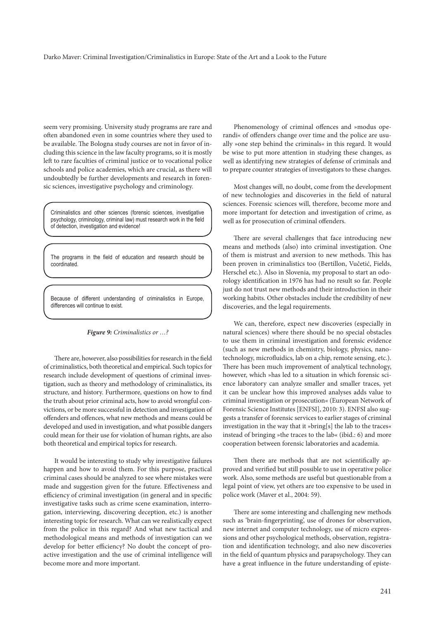seem very promising. University study programs are rare and often abandoned even in some countries where they used to be available. The Bologna study courses are not in favor of including this science in the law faculty programs, so it is mostly left to rare faculties of criminal justice or to vocational police schools and police academies, which are crucial, as there will undoubtedly be further developments and research in forensic sciences, investigative psychology and criminology.

Criminalistics and other sciences (forensic sciences, investigative psychology, criminology, criminal law) must research work in the field of detection, investigation and evidence!

The programs in the field of education and research should be coordinated.

Because of different understanding of criminalistics in Europe, differences will continue to exist.

*Figure 9: Criminalistics or …?*

There are, however, also possibilities for research in the field of criminalistics, both theoretical and empirical. Such topics for research include development of questions of criminal investigation, such as theory and methodology of criminalistics, its structure, and history. Furthermore, questions on how to find the truth about prior criminal acts, how to avoid wrongful convictions, or be more successful in detection and investigation of offenders and offences, what new methods and means could be developed and used in investigation, and what possible dangers could mean for their use for violation of human rights, are also both theoretical and empirical topics for research.

It would be interesting to study why investigative failures happen and how to avoid them. For this purpose, practical criminal cases should be analyzed to see where mistakes were made and suggestion given for the future. Effectiveness and efficiency of criminal investigation (in general and in specific investigative tasks such as crime scene examination, interrogation, interviewing, discovering deception, etc.) is another interesting topic for research. What can we realistically expect from the police in this regard? And what new tactical and methodological means and methods of investigation can we develop for better efficiency? No doubt the concept of proactive investigation and the use of criminal intelligence will become more and more important.

Phenomenology of criminal offences and »modus operandi« of offenders change over time and the police are usually »one step behind the criminals« in this regard. It would be wise to put more attention in studying these changes, as well as identifying new strategies of defense of criminals and to prepare counter strategies of investigators to these changes.

Most changes will, no doubt, come from the development of new technologies and discoveries in the field of natural sciences. Forensic sciences will, therefore, become more and more important for detection and investigation of crime, as well as for prosecution of criminal offenders.

There are several challenges that face introducing new means and methods (also) into criminal investigation. One of them is mistrust and aversion to new methods. This has been proven in criminalistics too (Bertillon, Vučetić, Fields, Herschel etc.). Also in Slovenia, my proposal to start an odorology identification in 1976 has had no result so far. People just do not trust new methods and their introduction in their working habits. Other obstacles include the credibility of new discoveries, and the legal requirements.

We can, therefore, expect new discoveries (especially in natural sciences) where there should be no special obstacles to use them in criminal investigation and forensic evidence (such as new methods in chemistry, biology, physics, nanotechnology, microfluidics, lab on a chip, remote sensing, etc.). There has been much improvement of analytical technology, however, which »has led to a situation in which forensic science laboratory can analyze smaller and smaller traces, yet it can be unclear how this improved analyses adds value to criminal investigation or prosecution« (European Network of Forensic Science Institutes [ENFSI], 2010: 3). ENFSI also suggests a transfer of forensic services to earlier stages of criminal investigation in the way that it »bring[s] the lab to the traces« instead of bringing »the traces to the lab« (ibid.: 6) and more cooperation between forensic laboratories and academia.

Then there are methods that are not scientifically approved and verified but still possible to use in operative police work. Also, some methods are useful but questionable from a legal point of view, yet others are too expensive to be used in police work (Maver et al., 2004: 59).

There are some interesting and challenging new methods such as 'brain-fingerprinting', use of drones for observation, new internet and computer technology, use of micro expressions and other psychological methods, observation, registration and identification technology, and also new discoveries in the field of quantum physics and parapsychology. They can have a great influence in the future understanding of episte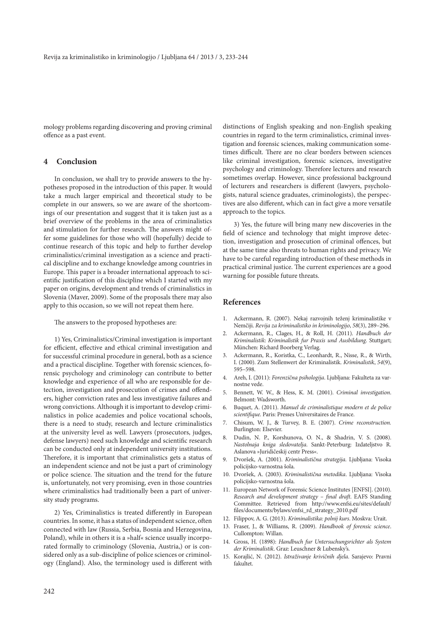mology problems regarding discovering and proving criminal offence as a past event.

# **4 Conclusion**

In conclusion, we shall try to provide answers to the hypotheses proposed in the introduction of this paper. It would take a much larger empirical and theoretical study to be complete in our answers, so we are aware of the shortcomings of our presentation and suggest that it is taken just as a brief overview of the problems in the area of criminalistics and stimulation for further research. The answers might offer some guidelines for those who will (hopefully) decide to continue research of this topic and help to further develop criminalistics/criminal investigation as a science and practical discipline and to exchange knowledge among countries in Europe. This paper is a broader international approach to scientific justification of this discipline which I started with my paper on origins, development and trends of criminalistics in Slovenia (Maver, 2009). Some of the proposals there may also apply to this occasion, so we will not repeat them here.

The answers to the proposed hypotheses are:

1) Yes, Criminalistics/Criminal investigation is important for efficient, effective and ethical criminal investigation and for successful criminal procedure in general, both as a science and a practical discipline. Together with forensic sciences, forensic psychology and criminology can contribute to better knowledge and experience of all who are responsible for detection, investigation and prosecution of crimes and offenders, higher conviction rates and less investigative failures and wrong convictions. Although it is important to develop criminalistics in police academies and police vocational schools, there is a need to study, research and lecture criminalistics at the university level as well. Lawyers (prosecutors, judges, defense lawyers) need such knowledge and scientific research can be conducted only at independent university institutions. Therefore, it is important that criminalistics gets a status of an independent science and not be just a part of criminology or police science. The situation and the trend for the future is, unfortunately, not very promising, even in those countries where criminalistics had traditionally been a part of university study programs.

2) Yes, Criminalistics is treated differently in European countries. In some, it has a status of independent science, often connected with law (Russia, Serbia, Bosnia and Herzegovina, Poland), while in others it is a »half« science usually incorporated formally to criminology (Slovenia, Austria,) or is considered only as a sub-discipline of police sciences or criminology (England). Also, the terminology used is different with

distinctions of English speaking and non-English speaking countries in regard to the term criminalistics, criminal investigation and forensic sciences, making communication sometimes difficult. There are no clear borders between sciences like criminal investigation, forensic sciences, investigative psychology and criminology. Therefore lectures and research sometimes overlap. However, since professional background of lecturers and researchers is different (lawyers, psychologists, natural science graduates, criminologists), the perspectives are also different, which can in fact give a more versatile approach to the topics.

3) Yes, the future will bring many new discoveries in the field of science and technology that might improve detection, investigation and prosecution of criminal offences, but at the same time also threats to human rights and privacy. We have to be careful regarding introduction of these methods in practical criminal justice. The current experiences are a good warning for possible future threats.

# **References**

- 1. Ackermann, R. (2007). Nekaj razvojnih teženj kriminalistike v Nemčiji. *Revija za kriminalistiko in kriminologijo*, *58*(3), 289–296.
- 2. Ackermann, R., Clages, H., & Roll, H. (2011). *Handbuch der Kriminalistik*: *Kriminalistik fur Praxis und Ausbildung*. Stuttgart; München: Richard Boorberg Verlag.
- 3. Ackermann, R., Koristka, C., Leonhardt, R., Nisse, R., & Wirth, I. (2000). Zum Stellenwert der Kriminalistik. *Kriminalistik*, *54*(9), 595–598.
- 4. Areh, I. (2011): *Forenzična psihologija*. Ljubljana: Fakulteta za varnostne vede.
- 5. Bennett, W. W., & Hess, K. M. (2001). *Criminal investigation*. Belmont: Wadsworth.
- 6. Buquet, A. (2011). *Manuel de criminalistique modern et de police scientifique.* Paris: Presses Universitaires de France.
- 7. Chisum, W. J., & Turvey, B. E. (2007). *Crime reconstruction.* Burlington: Elsevier.
- 8. Dudin, N. P., Korshunova, O. N., & Shadrin, V. S. (2008). *Nastolnaja kniga sledovatelja*. Sankt-Peterburg: Izdateljstvo R. Aslanova »Juridičeskij centr Press«.
- 9. Dvoršek, A. (2001). *Kriminalistična strategija*. Ljubljana: Visoka policijsko-varnostna šola.
- 10. Dvoršek, A. (2003). *Kriminalistična metodika*. Ljubljana: Visoka policijsko-varnostna šola.
- 11. European Network of Forensic Science Institutes [ENFSI]. (2010). *Research and development strategy – final draft*. EAFS Standing Committee. Retrieved from http://www.enfsi.eu/sites/default/ files/documents/bylaws/enfsi\_rd\_strategy\_2010.pdf
- 12. Filippov, A. G. (2013). *Kriminalistika: polnij kurs*. Moskva: Urait.
- 13. Fraser, J., & Williams, R. (2009). *Handbook of forensic science*. Cullompton: Willan.
- 14. Gross, H. (1898): *Handbuch fur Untersuchungsrichter als System der Kriminalistik*. Graz: Leuschner & Lubensky's.
- 15. Korajlić, N. (2012). *Istraživanje krivičnih djela*. Sarajevo: Pravni fakultet.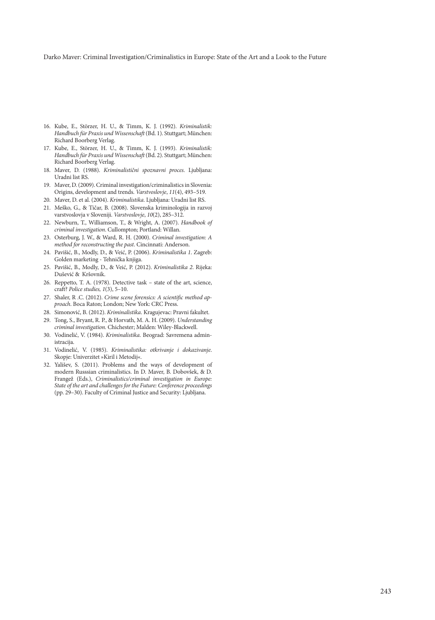Darko Maver: Criminal Investigation/Criminalistics in Europe: State of the Art and a Look to the Future

- 16. Kube, E., Störzer, H. U., & Timm, K. J. (1992). *Kriminalistik: Handbuch für Praxis und Wissenschaft* (Bd. 1). Stuttgart; München: Richard Boorberg Verlag.
- 17. Kube, E., Störzer, H. U., & Timm, K. J. (1993). *Kriminalistik: Handbuch für Praxis und Wissenschaft* (Bd. 2). Stuttgart; München: Richard Boorberg Verlag.
- 18. Maver, D. (1988). *Kriminalistični spoznavni proces*. Ljubljana: Uradni list RS.
- 19. Maver, D. (2009). Criminal investigation/criminalistics in Slovenia: Origins, development and trends. *Varstvoslovje*, *11*(4), 493–519.
- 20. Maver, D. et al. (2004). *Kriminalistika*. Ljubljana: Uradni list RS.
- 21. Meško, G., & Tičar, B. (2008). Slovenska kriminologija in razvoj varstvoslovja v Sloveniji. *Varstvoslovje*, *10*(2), 285–312.
- 22. Newburn, T., Williamson, T., & Wright, A. (2007). *Handbook of criminal investigation*. Cullompton; Portland: Willan.
- 23. Osterburg, J. W., & Ward, R. H. (2000). *Criminal investigation: A method for reconstructing the past*. Cincinnati: Anderson.
- 24. Pavišić, B., Modly, D., & Veić, P. (2006). *Kriminalistika 1*. Zagreb: Golden marketing - Tehnička knjiga.
- 25. Pavišić, B., Modly, D., & Veić, P. (2012). *Kriminalistika 2*. Rijeka: Dušević & Kršovnik.
- 26. Reppetto, T. A. (1978). Detective task state of the art, science, craft? *Police studies, 1*(3), 5–10.
- 27. Shaler, R .C. (2012). *Crime scene forensics: A scientific method approach*. Boca Raton; London; New York: CRC Press.
- 28. Simonović, B. (2012). *Kriminalistika*. Kragujevac: Pravni fakultet.
- 29. Tong, S., Bryant, R. P., & Horvath, M. A. H. (2009). *Understanding criminal investigation.* Chichester; Malden: Wiley-Blackwell.
- 30. Vodinelić, V. (1984). *Kriminalistika*. Beograd: Savremena administracija.
- 31. Vodinelić, V. (1985). *Kriminalistika: otkrivanje i dokazivanje*. Skopje: Univerzitet »Kiril i Metodij«.
- 32. Yališev, S. (2011). Problems and the ways of development of modern Russsian criminalistics. In D. Maver, B. Dobovšek, & D. Frangež (Eds.), *Criminalistics/criminal investigation in Europe: State of the art and challenges for the Future: Conference proceedings*  (pp. 29–30). Faculty of Criminal Justice and Security: Ljubljana.